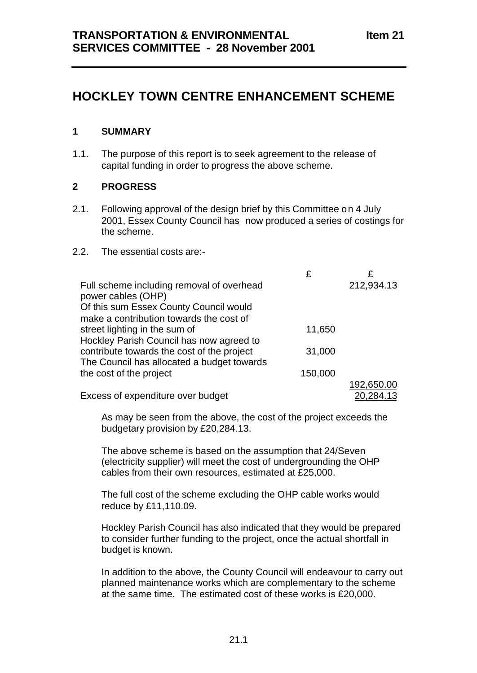# **HOCKLEY TOWN CENTRE ENHANCEMENT SCHEME**

### **1 SUMMARY**

1.1. The purpose of this report is to seek agreement to the release of capital funding in order to progress the above scheme.

### **2 PROGRESS**

2.1. Following approval of the design brief by this Committee on 4 July 2001, Essex County Council has now produced a series of costings for the scheme.

#### 2.2. The essential costs are:-

|                                                                 | £       |            |
|-----------------------------------------------------------------|---------|------------|
| Full scheme including removal of overhead<br>power cables (OHP) |         | 212,934.13 |
| Of this sum Essex County Council would                          |         |            |
| make a contribution towards the cost of                         |         |            |
| street lighting in the sum of                                   | 11,650  |            |
| Hockley Parish Council has now agreed to                        |         |            |
| contribute towards the cost of the project                      | 31,000  |            |
| The Council has allocated a budget towards                      |         |            |
| the cost of the project                                         | 150,000 |            |
|                                                                 |         | 192,650.00 |
| Excess of expenditure over budget                               |         | 20,284.13  |

As may be seen from the above, the cost of the project exceeds the budgetary provision by £20,284.13.

The above scheme is based on the assumption that 24/Seven (electricity supplier) will meet the cost of undergrounding the OHP cables from their own resources, estimated at £25,000.

The full cost of the scheme excluding the OHP cable works would reduce by £11,110.09.

Hockley Parish Council has also indicated that they would be prepared to consider further funding to the project, once the actual shortfall in budget is known.

In addition to the above, the County Council will endeavour to carry out planned maintenance works which are complementary to the scheme at the same time. The estimated cost of these works is £20,000.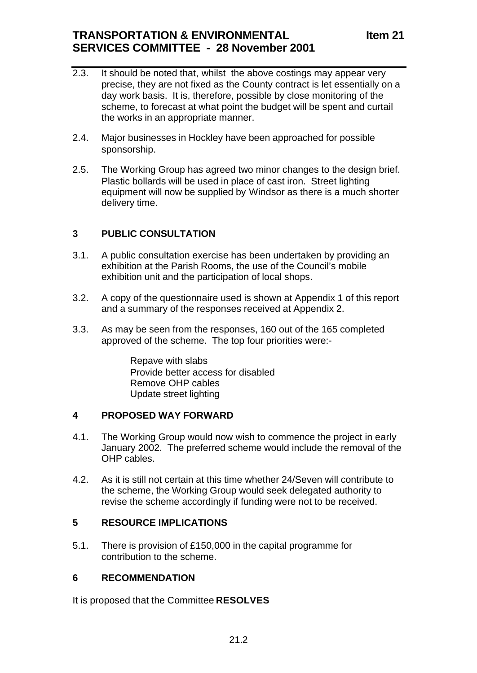## **SERVICES COMMITTEE - 28 November 2001**

- 2.3. It should be noted that, whilst the above costings may appear very precise, they are not fixed as the County contract is let essentially on a day work basis. It is, therefore, possible by close monitoring of the scheme, to forecast at what point the budget will be spent and curtail the works in an appropriate manner.
- 2.4. Major businesses in Hockley have been approached for possible sponsorship.
- 2.5. The Working Group has agreed two minor changes to the design brief. Plastic bollards will be used in place of cast iron. Street lighting equipment will now be supplied by Windsor as there is a much shorter delivery time.

## **3 PUBLIC CONSULTATION**

- 3.1. A public consultation exercise has been undertaken by providing an exhibition at the Parish Rooms, the use of the Council's mobile exhibition unit and the participation of local shops.
- 3.2. A copy of the questionnaire used is shown at Appendix 1 of this report and a summary of the responses received at Appendix 2.
- 3.3. As may be seen from the responses, 160 out of the 165 completed approved of the scheme. The top four priorities were:-

Repave with slabs Provide better access for disabled Remove OHP cables Update street lighting

## **4 PROPOSED WAY FORWARD**

- 4.1. The Working Group would now wish to commence the project in early January 2002. The preferred scheme would include the removal of the OHP cables.
- 4.2. As it is still not certain at this time whether 24/Seven will contribute to the scheme, the Working Group would seek delegated authority to revise the scheme accordingly if funding were not to be received.

## **5 RESOURCE IMPLICATIONS**

5.1. There is provision of £150,000 in the capital programme for contribution to the scheme.

## **6 RECOMMENDATION**

It is proposed that the Committee **RESOLVES**